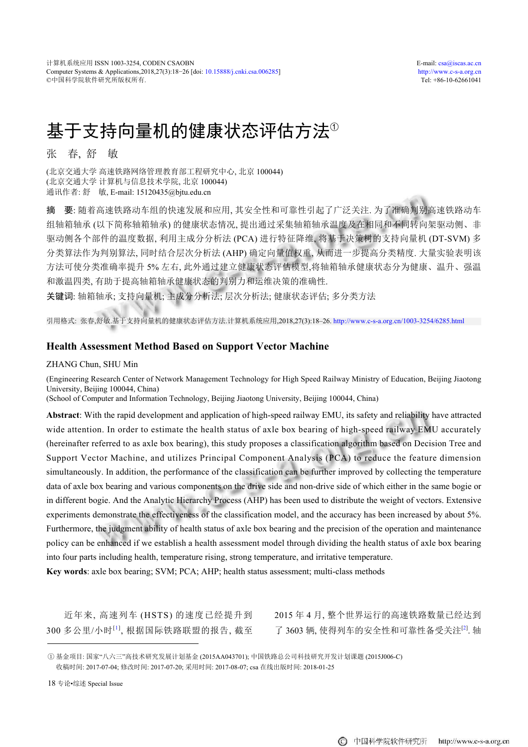# 基于支持向量机的健康状态评估方法<sup>①</sup>

# 张 春, 舒 敏

(北京交通大学 高速铁路网络管理教育部工程研究中心, 北京 100044) (北京交通大学 计算机与信息技术学院, 北京 100044) 通讯作者: 舒 敏, E-mail: 15120435@bjtu.edu.cn

摘 要: 随着高速铁路动车组的快速发展和应用, 其安全性和可靠性引起了广泛关注. 为了准确判别高速铁路动车 组轴箱轴承 (以下简称轴箱轴承) 的健康状态情况, 提出通过采集轴箱轴承温度及在相同和不同转向架驱动侧、非 驱动侧各个部件的温度数据, 利用主成分分析法 (PCA) 进行特征降维, 将基于决策树的支持向量机 (DT-SVM) 多 分类算法作为判别算法, 同时结合层次分析法 (AHP) 确定向量值权重, 从而进一步提高分类精度. 大量实验表明该 方法可使分类准确率提升 5% 左右, 此外通过建立健康状态评估模型,将轴箱轴承健康状态分为健康、温升、强温 和激温四类, 有助于提高轴箱轴承健康状态的判别力和运维决策的准确性.

关键词: 轴箱轴承; 支持向量机; 主成分分析法; 层次分析法; 健康状态评估; 多分类方法

引用格式: 张春,舒敏.基于支持向量机的健康状态评估方法.计算机系统应用,2018,27(3):18–26.<http://www.c-s-a.org.cn/1003-3254/6285.html>

# **Health Assessment Method Based on Support Vector Machine**

#### ZHANG Chun, SHU Min

(Engineering Research Center of Network Management Technology for High Speed Railway Ministry of Education, Beijing Jiaotong University, Beijing 100044, China)

(School of Computer and Information Technology, Beijing Jiaotong University, Beijing 100044, China)

**Abstract**: With the rapid development and application of high-speed railway EMU, its safety and reliability have attracted wide attention. In order to estimate the health status of axle box bearing of high-speed railway EMU accurately (hereinafter referred to as axle box bearing), this study proposes a classification algorithm based on Decision Tree and Support Vector Machine, and utilizes Principal Component Analysis (PCA) to reduce the feature dimension simultaneously. In addition, the performance of the classification can be further improved by collecting the temperature data of axle box bearing and various components on the drive side and non-drive side of which either in the same bogie or in different bogie. And the Analytic Hierarchy Process (AHP) has been used to distribute the weight of vectors. Extensive experiments demonstrate the effectiveness of the classification model, and the accuracy has been increased by about 5%. Furthermore, the judgment ability of health status of axle box bearing and the precision of the operation and maintenance policy can be enhanced if we establish a health assessment model through dividing the health status of axle box bearing into four parts including health, temperature rising, strong temperature, and irritative temperature.

**Key words**: axle box bearing; SVM; PCA; AHP; health status assessment; multi-class methods

近年来, 高速列车 (HSTS) 的速度已经提升到 300 多公里/小时<sup>[[1](#page-8-0)]</sup>, 根据国际铁路联盟的报告, 截至

2015 年 4 月, 整个世界运行的高速铁路数量已经达到 了 3603 辆, 使得列车的安全性和可靠性备受关注<sup>[[2\]](#page-8-1)</sup>. 轴

① 基金项目: 国家"八六三"高技术研究发展计划基金 (2015AA043701); 中国铁路总公司科技研究开发计划课题 (2015J006-C) 收稿时间: 2017-07-04; 修改时间: 2017-07-20; 采用时间: 2017-08-07; csa 在线出版时间: 2018-01-25

<sup>18</sup> 专论•综述 Special Issue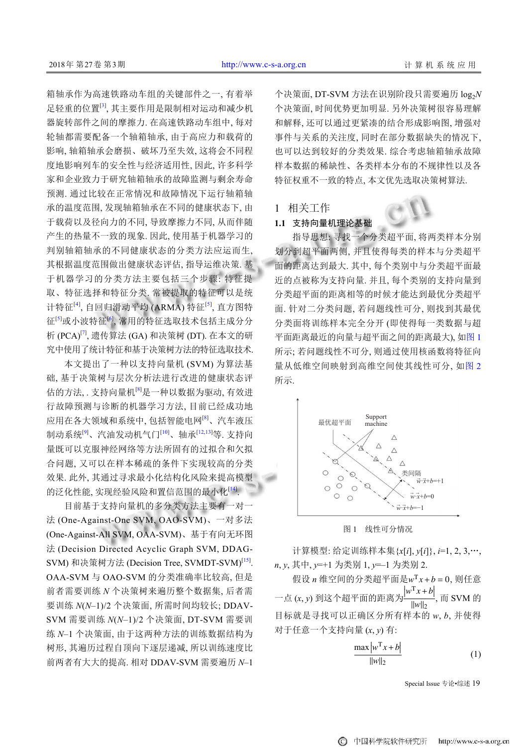箱轴承作为高速铁路动车组的关键部件之一, 有着举 足轻重的位置<sup>[[3\]](#page-8-2)</sup>, 其主要作用是限制相对运动和减少机 器旋转部件之间的摩擦力. 在高速铁路动车组中, 每对 轮轴都需要配备一个轴箱轴承, 由于高应力和载荷的 影响, 轴箱轴承会磨损、破坏乃至失效, 这将会不同程 度地影响列车的安全性与经济适用性, 因此, 许多科学 家和企业致力于研究轴箱轴承的故障监测与剩余寿命 预测. 通过比较在正常情况和故障情况下运行轴箱轴 承的温度范围, 发现轴箱轴承在不同的健康状态下, 由 于载荷以及径向力的不同, 导致摩擦力不同, 从而伴随 产生的热量不一致的现象. 因此, 使用基于机器学习的 判别轴箱轴承的不同健康状态的分类方法应运而生, 其根据温度范围做出健康状态评估, 指导运维决策. 基 于机器学习的分类方法主要包括三个步骤: 特征提 取、特征选择和特征分类. 常被提取的特征可以是统 计特征<sup>[\[4](#page-8-3)]</sup>, 自回归滑动平均 (ARMA) 特征<sup>[[5\]](#page-8-4)</sup>, 直方图特 征[[5\]](#page-8-4)或小波特征[[6](#page-8-5)], 常用的特征选取技术包括主成分分 析 (PCA)<sup>[[7\]](#page-8-6)</sup>, 遗传算法 (GA) 和决策树 (DT). 在本文的研 究中使用了统计特征和基于决策树方法的特征选取技术.

本文提出了一种以支持向量机 (SVM) 为算法基 础, 基于决策树与层次分析法进行改进的健康状态评 估的方法, . 支持向量机[[8\]](#page-8-7)是一种以数据为驱动, 有效进 行故障预测与诊断的机器学习方法, 目前已经成功地 应用在各大领域和系统中, 包括智能电网[\[8](#page-8-7)]、汽车液压 制动系统[[9\]](#page-8-8)、汽油发动机气门[[10](#page-8-9)]、轴承[[12,](#page-8-10)[13\]](#page-8-11)等. 支持向 量既可以克服神经网络等方法所固有的过拟合和欠拟 合问题, 又可以在样本稀疏的条件下实现较高的分类 效果. 此外, 其通过寻求最小化结构化风险来提高模型 的泛化性能, 实现经验风险和置信范围的最小化[\[14](#page-8-12)].

目前基于支持向量机的多分类方法主要有一对一 法 (One-Against-One SVM, OAO-SVM)、一对多法 (One-Against-All SVM, OAA-SVM)、基于有向无环图 法 (Decision Directed Acyclic Graph SVM, DDAG-SVM) 和决策树方法 (Decision Tree, SVMDT-SVM)<sup>[[15\]](#page-8-13)</sup>. OAA-SVM 与 OAO-SVM 的分类准确率比较高, 但是 前者需要训练 *N* 个决策树来遍历整个数据集, 后者需 要训练 *N*(*N*–1)/2 个决策面, 所需时间均较长; DDAV-SVM 需要训练 *N*(*N*–1)/2 个决策面, DT-SVM 需要训 练 *N*–1 个决策面, 由于这两种方法的训练数据结构为 树形, 其遍历过程自顶向下逐层递减, 所以训练速度比 前两者有大大的提高. 相对 DDAV-SVM 需要遍历 *N*–1  $\triangle$  决策面, DT-SVM 方法在识别阶段只需要遍历  $log_2N$ 个决策面, 时间优势更加明显. 另外决策树很容易理解 和解释, 还可以通过更紧凑的结合形成影响图, 增强对 事件与关系的关注度, 同时在部分数据缺失的情况下, 也可以达到较好的分类效果. 综合考虑轴箱轴承故障 样本数据的稀缺性、各类样本分布的不规律性以及各 特征权重不一致的特点, 本文优先选取决策树算法.

### 1 相关工作

## **1.1** 支持向量机理论基础

指导思想: 寻找一个分类超平面, 将两类样本分别 划分到超平面两侧, 并且使得每类的样本与分类超平 面的距离达到最大. 其中, 每个类别中与分类超平面最 近的点被称为支持向量. 并且, 每个类别的支持向量到 分类超平面的距离相等的时候才能达到最优分类超平 面. 针对二分类问题, 若问题线性可分, 则找到其最优 分类面将训练样本完全分开 (即使得每一类数据与超 平面距离最近的向量与超平面之间的距离最大), 如[图](#page-1-0) [1](#page-1-0) 所示; 若问题线性不可分, 则通过使用核函数将特征向 量从低维空间映射到高维空间使其线性可分, 如[图](#page-2-0) [2](#page-2-0) 所示.



图 1 线性可分情况

<span id="page-1-0"></span>计算模型: 给定训练样本集{*x*[*i*], *y*[*i*]}, *i*=1, 2, 3,…, *n*, *y*, 其中, *y*=+1 为类别 1, *y*=–1 为类别 2.

假设 *n* 维空间的分类超平面是 w<sup>T</sup> x + b = 0, 则任意  $w^{\mathrm{T}} x + b$ 一点 (*x*, *y*) 到这个超平面的距离为 | | <u>| wlp</u>, 而 SVM 的 目标就是寻找可以正确区分所有样本的 *w*, *b*, 并使得 对于任意一个支持向量 (*x*, *y*) 有:

$$
\frac{\max |w^{\mathrm{T}}x + b|}{\|w\|_2} \tag{1}
$$

Special Issue 专论•综述 19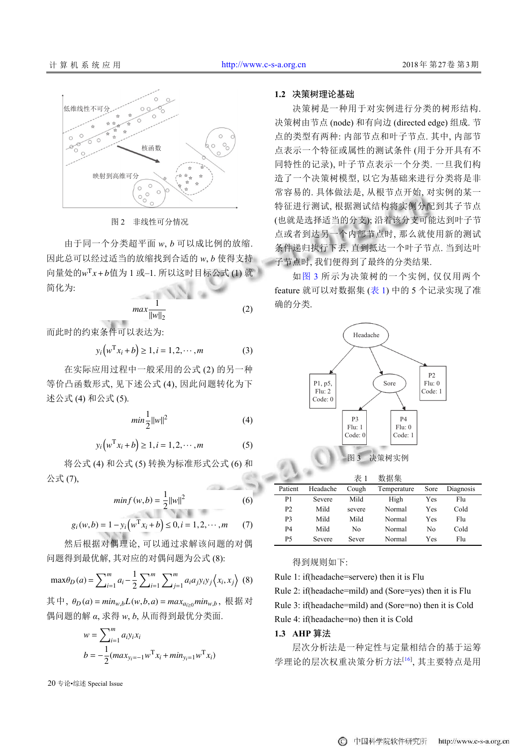

图 2 非线性可分情况

<span id="page-2-0"></span>向量处的w<sup>T</sup>x+b值为 1 或-1. 所以这时目标公式(1) 就 由于同一个分类超平面 *w*, *b* 可以成比例的放缩. 因此总可以经过适当的放缩找到合适的 *w*, *b* 使得支持 简化为:

$$
max\frac{1}{\|w\|_2} \tag{2}
$$

而此时的约束条件可以表达为:

 $y_i(w^{\text{T}} x_i + b) \ge 1, i = 1, 2, \cdots, m$  (3)

在实际应用过程中一般采用的公式 (2) 的另一种 等价凸函数形式, 见下述公式 (4), 因此问题转化为下 述公式 (4) 和公式 (5).

$$
min\frac{1}{2}||w||^2
$$
 (4)

$$
y_i\left(w^{\mathrm{T}}x_i + b\right) \ge 1, i = 1, 2, \cdots, m \tag{5}
$$

将公式 (4) 和公式 (5) 转换为标准形式公式 (6) 和 公式 (7),

$$
min f(w, b) = \frac{1}{2} ||w||^2
$$
 (6)

$$
g_i(w, b) = 1 - y_i(w^{\mathrm{T}} x_i + b) \le 0, i = 1, 2, \cdots, m \tag{7}
$$

然后根据对偶理论, 可以通过求解该问题的对偶 问题得到最优解, 其对应的对偶问题为公式 (8):

$$
\max \theta_D(a) = \sum_{i=1}^m a_i - \frac{1}{2} \sum_{i=1}^m \sum_{j=1}^m a_i a_j y_i y_j \langle x_i, x_j \rangle
$$
 (8)

其中,  $\theta_D(a) = min_{w,b} L(w, b, a) = max_{a_{i>0}} min_{w,b}$ , 根据对 偶问题的解 *α*, 求得 *w*, *b*, 从而得到最优分类面.

$$
w = \sum_{i=1}^{m} a_i y_i x_i
$$
  

$$
b = -\frac{1}{2} (max_{y_i = -1} w^T x_i + min_{y_i = 1} w^T x_i)
$$

20 专论•综述 Special Issue

#### **1.2** 决策树理论基础

决策树是一种用于对实例进行分类的树形结构. 决策树由节点 (node) 和有向边 (directed edge) 组成. 节 点的类型有两种: 内部节点和叶子节点. 其中, 内部节 点表示一个特征或属性的测试条件 (用于分开具有不 同特性的记录), 叶子节点表示一个分类. 一旦我们构 造了一个决策树模型, 以它为基础来进行分类将是非 常容易的. 具体做法是, 从根节点开始, 对实例的某一 特征进行测试, 根据测试结构将实例分配到其子节点 (也就是选择适当的分支); 沿着该分支可能达到叶子节 点或者到达另一个内部节点时, 那么就使用新的测试 条件递归执行下去, 直到抵达一个叶子节点. 当到达叶 子节点时, 我们便得到了最终的分类结果.

如[图](#page-2-1) [3](#page-2-1) 所示为决策树的一个实例, 仅仅用两个 feature 就可以对数据集 ([表](#page-2-2) [1](#page-2-2)) 中的 5 个记录实现了准 确的分类.



<span id="page-2-2"></span><span id="page-2-1"></span>

|                |          | 表 1    | 数据集         |      |           |
|----------------|----------|--------|-------------|------|-----------|
| Patient        | Headache | Cough  | Temperature | Sore | Diagnosis |
| P1             | Severe   | Mild   | High        | Yes  | Flu       |
| P <sub>2</sub> | Mild     | severe | Normal      | Yes  | Cold      |
| P3             | Mild     | Mild   | Normal      | Yes  | Flu       |
| <b>P4</b>      | Mild     | No     | Normal      | No   | Cold      |
| <b>P5</b>      | Severe   | Sever  | Normal      | Yes  | Flu       |

得到规则如下:

Rule 1: if(headache=servere) then it is Flu

Rule 2: if(headache=mild) and (Sore=yes) then it is Flu

Rule 3: if(headache=mild) and (Sore=no) then it is Cold

Rule 4: if(headache=no) then it is Cold

#### **1.3 AHP** 算法

层次分析法是一种定性与定量相结合的基于运筹 学理论的层次权重决策分析方法<sup>[[16\]](#page-8-14)</sup>, 其主要特点是用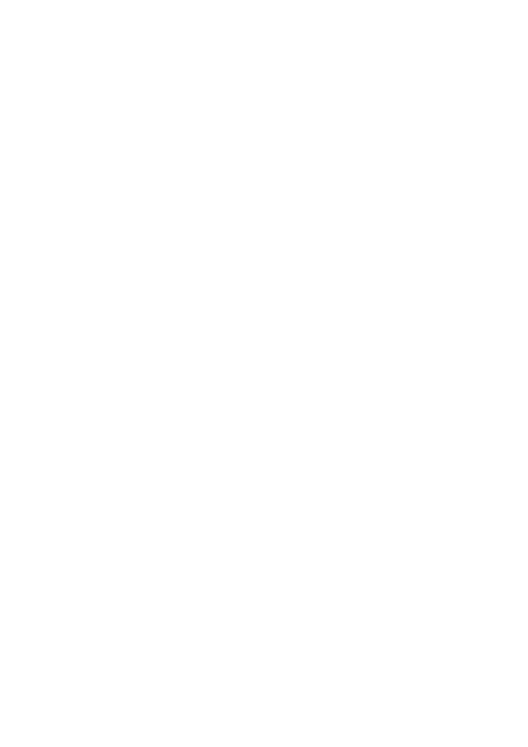

**Health Assessment Method Based on Support Vector Machine** 

Abstract



**Key words**